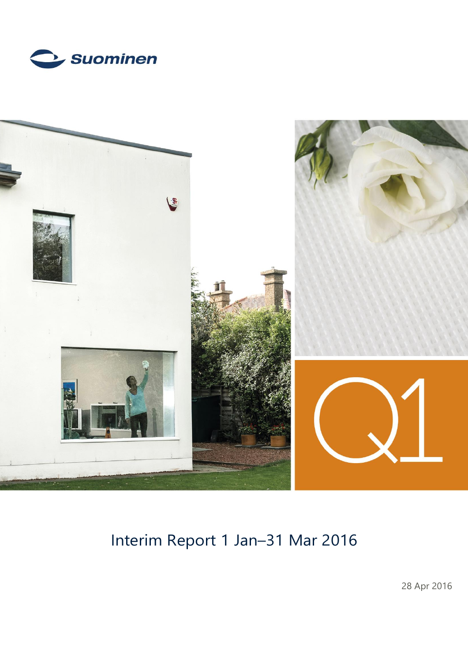



# Interim Report 1 Jan–31 Mar 2016

28 Apr 2016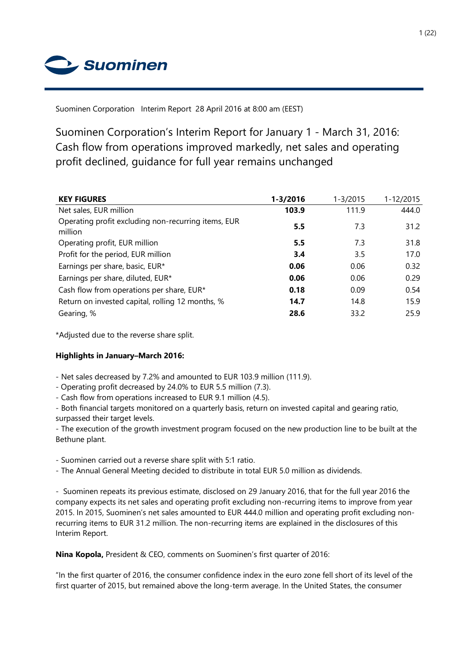Suominen

Suominen Corporation Interim Report 28 April 2016 at 8:00 am (EEST)

Suominen Corporation's Interim Report for January 1 - March 31, 2016: Cash flow from operations improved markedly, net sales and operating profit declined, guidance for full year remains unchanged

| <b>KEY FIGURES</b>                                             | 1-3/2016 | $1 - 3/2015$ | 1-12/2015 |
|----------------------------------------------------------------|----------|--------------|-----------|
| Net sales, EUR million                                         | 103.9    | 111.9        | 444.0     |
| Operating profit excluding non-recurring items, EUR<br>million | 5.5      | 7.3          | 31.2      |
| Operating profit, EUR million                                  | 5.5      | 7.3          | 31.8      |
| Profit for the period, EUR million                             | 3.4      | 3.5          | 17.0      |
| Earnings per share, basic, EUR*                                | 0.06     | 0.06         | 0.32      |
| Earnings per share, diluted, EUR*                              | 0.06     | 0.06         | 0.29      |
| Cash flow from operations per share, EUR*                      | 0.18     | 0.09         | 0.54      |
| Return on invested capital, rolling 12 months, %               | 14.7     | 14.8         | 15.9      |
| Gearing, %                                                     | 28.6     | 33.2         | 25.9      |

\*Adjusted due to the reverse share split.

# **Highlights in January–March 2016:**

- Net sales decreased by 7.2% and amounted to EUR 103.9 million (111.9).

- Operating profit decreased by 24.0% to EUR 5.5 million (7.3).

- Cash flow from operations increased to EUR 9.1 million (4.5).

- Both financial targets monitored on a quarterly basis, return on invested capital and gearing ratio, surpassed their target levels.

- The execution of the growth investment program focused on the new production line to be built at the Bethune plant.

- Suominen carried out a reverse share split with 5:1 ratio.

- The Annual General Meeting decided to distribute in total EUR 5.0 million as dividends.

- Suominen repeats its previous estimate, disclosed on 29 January 2016, that for the full year 2016 the company expects its net sales and operating profit excluding non-recurring items to improve from year 2015. In 2015, Suominen's net sales amounted to EUR 444.0 million and operating profit excluding nonrecurring items to EUR 31.2 million. The non-recurring items are explained in the disclosures of this Interim Report.

**Nina Kopola,** President & CEO, comments on Suominen's first quarter of 2016:

"In the first quarter of 2016, the consumer confidence index in the euro zone fell short of its level of the first quarter of 2015, but remained above the long-term average. In the United States, the consumer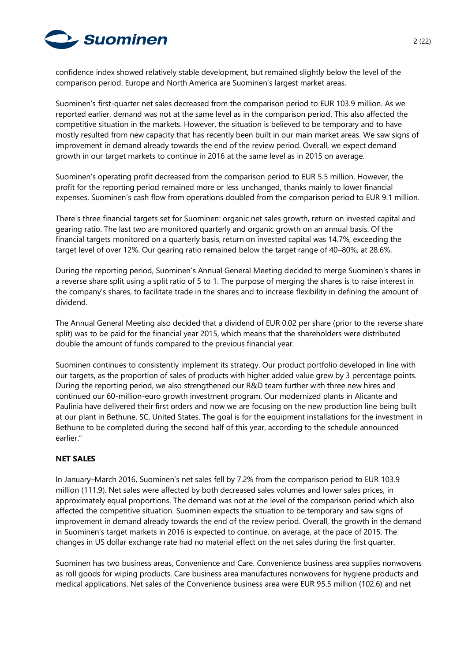

confidence index showed relatively stable development, but remained slightly below the level of the comparison period. Europe and North America are Suominen's largest market areas.

Suominen's first-quarter net sales decreased from the comparison period to EUR 103.9 million. As we reported earlier, demand was not at the same level as in the comparison period. This also affected the competitive situation in the markets. However, the situation is believed to be temporary and to have mostly resulted from new capacity that has recently been built in our main market areas. We saw signs of improvement in demand already towards the end of the review period. Overall, we expect demand growth in our target markets to continue in 2016 at the same level as in 2015 on average.

Suominen's operating profit decreased from the comparison period to EUR 5.5 million. However, the profit for the reporting period remained more or less unchanged, thanks mainly to lower financial expenses. Suominen's cash flow from operations doubled from the comparison period to EUR 9.1 million.

There's three financial targets set for Suominen: organic net sales growth, return on invested capital and gearing ratio. The last two are monitored quarterly and organic growth on an annual basis. Of the financial targets monitored on a quarterly basis, return on invested capital was 14.7%, exceeding the target level of over 12%. Our gearing ratio remained below the target range of 40–80%, at 28.6%.

During the reporting period, Suominen's Annual General Meeting decided to merge Suominen's shares in a reverse share split using a split ratio of 5 to 1. The purpose of merging the shares is to raise interest in the company's shares, to facilitate trade in the shares and to increase flexibility in defining the amount of dividend.

The Annual General Meeting also decided that a dividend of EUR 0.02 per share (prior to the reverse share split) was to be paid for the financial year 2015, which means that the shareholders were distributed double the amount of funds compared to the previous financial year.

Suominen continues to consistently implement its strategy. Our product portfolio developed in line with our targets, as the proportion of sales of products with higher added value grew by 3 percentage points. During the reporting period, we also strengthened our R&D team further with three new hires and continued our 60-million-euro growth investment program. Our modernized plants in Alicante and Paulínia have delivered their first orders and now we are focusing on the new production line being built at our plant in Bethune, SC, United States. The goal is for the equipment installations for the investment in Bethune to be completed during the second half of this year, according to the schedule announced earlier."

## **NET SALES**

In January–March 2016, Suominen's net sales fell by 7.2% from the comparison period to EUR 103.9 million (111.9). Net sales were affected by both decreased sales volumes and lower sales prices, in approximately equal proportions. The demand was not at the level of the comparison period which also affected the competitive situation. Suominen expects the situation to be temporary and saw signs of improvement in demand already towards the end of the review period. Overall, the growth in the demand in Suominen's target markets in 2016 is expected to continue, on average, at the pace of 2015. The changes in US dollar exchange rate had no material effect on the net sales during the first quarter.

Suominen has two business areas, Convenience and Care. Convenience business area supplies nonwovens as roll goods for wiping products. Care business area manufactures nonwovens for hygiene products and medical applications. Net sales of the Convenience business area were EUR 95.5 million (102.6) and net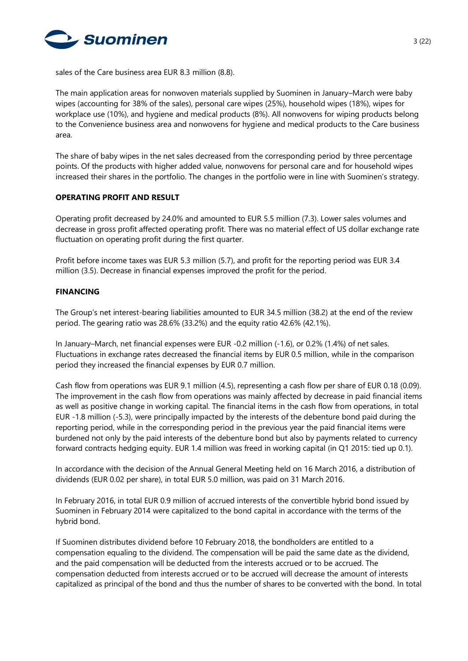

sales of the Care business area EUR 8.3 million (8.8).

The main application areas for nonwoven materials supplied by Suominen in January–March were baby wipes (accounting for 38% of the sales), personal care wipes (25%), household wipes (18%), wipes for workplace use (10%), and hygiene and medical products (8%). All nonwovens for wiping products belong to the Convenience business area and nonwovens for hygiene and medical products to the Care business area.

The share of baby wipes in the net sales decreased from the corresponding period by three percentage points. Of the products with higher added value, nonwovens for personal care and for household wipes increased their shares in the portfolio. The changes in the portfolio were in line with Suominen's strategy.

## **OPERATING PROFIT AND RESULT**

Operating profit decreased by 24.0% and amounted to EUR 5.5 million (7.3). Lower sales volumes and decrease in gross profit affected operating profit. There was no material effect of US dollar exchange rate fluctuation on operating profit during the first quarter.

Profit before income taxes was EUR 5.3 million (5.7), and profit for the reporting period was EUR 3.4 million (3.5). Decrease in financial expenses improved the profit for the period.

# **FINANCING**

The Group's net interest-bearing liabilities amounted to EUR 34.5 million (38.2) at the end of the review period. The gearing ratio was 28.6% (33.2%) and the equity ratio 42.6% (42.1%).

In January–March, net financial expenses were EUR -0.2 million (-1.6), or 0.2% (1.4%) of net sales. Fluctuations in exchange rates decreased the financial items by EUR 0.5 million, while in the comparison period they increased the financial expenses by EUR 0.7 million.

Cash flow from operations was EUR 9.1 million (4.5), representing a cash flow per share of EUR 0.18 (0.09). The improvement in the cash flow from operations was mainly affected by decrease in paid financial items as well as positive change in working capital. The financial items in the cash flow from operations, in total EUR -1.8 million (-5.3), were principally impacted by the interests of the debenture bond paid during the reporting period, while in the corresponding period in the previous year the paid financial items were burdened not only by the paid interests of the debenture bond but also by payments related to currency forward contracts hedging equity. EUR 1.4 million was freed in working capital (in Q1 2015: tied up 0.1).

In accordance with the decision of the Annual General Meeting held on 16 March 2016, a distribution of dividends (EUR 0.02 per share), in total EUR 5.0 million, was paid on 31 March 2016.

In February 2016, in total EUR 0.9 million of accrued interests of the convertible hybrid bond issued by Suominen in February 2014 were capitalized to the bond capital in accordance with the terms of the hybrid bond.

If Suominen distributes dividend before 10 February 2018, the bondholders are entitled to a compensation equaling to the dividend. The compensation will be paid the same date as the dividend, and the paid compensation will be deducted from the interests accrued or to be accrued. The compensation deducted from interests accrued or to be accrued will decrease the amount of interests capitalized as principal of the bond and thus the number of shares to be converted with the bond. In total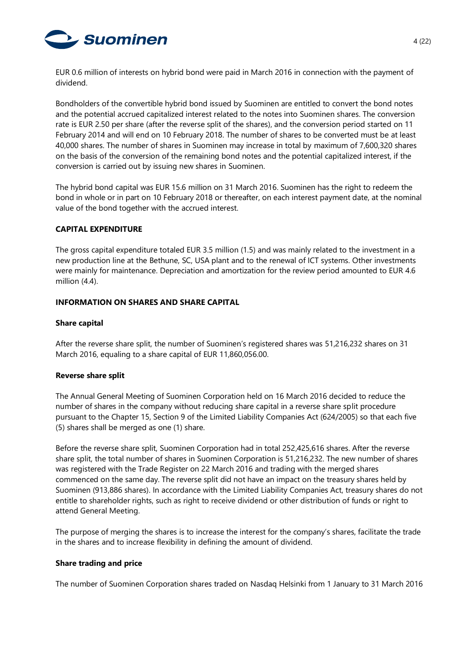

EUR 0.6 million of interests on hybrid bond were paid in March 2016 in connection with the payment of dividend.

Bondholders of the convertible hybrid bond issued by Suominen are entitled to convert the bond notes and the potential accrued capitalized interest related to the notes into Suominen shares. The conversion rate is EUR 2.50 per share (after the reverse split of the shares), and the conversion period started on 11 February 2014 and will end on 10 February 2018. The number of shares to be converted must be at least 40,000 shares. The number of shares in Suominen may increase in total by maximum of 7,600,320 shares on the basis of the conversion of the remaining bond notes and the potential capitalized interest, if the conversion is carried out by issuing new shares in Suominen.

The hybrid bond capital was EUR 15.6 million on 31 March 2016. Suominen has the right to redeem the bond in whole or in part on 10 February 2018 or thereafter, on each interest payment date, at the nominal value of the bond together with the accrued interest.

## **CAPITAL EXPENDITURE**

The gross capital expenditure totaled EUR 3.5 million (1.5) and was mainly related to the investment in a new production line at the Bethune, SC, USA plant and to the renewal of ICT systems. Other investments were mainly for maintenance. Depreciation and amortization for the review period amounted to EUR 4.6 million (4.4).

## **INFORMATION ON SHARES AND SHARE CAPITAL**

## **Share capital**

After the reverse share split, the number of Suominen's registered shares was 51,216,232 shares on 31 March 2016, equaling to a share capital of EUR 11,860,056.00.

## **Reverse share split**

The Annual General Meeting of Suominen Corporation held on 16 March 2016 decided to reduce the number of shares in the company without reducing share capital in a reverse share split procedure pursuant to the Chapter 15, Section 9 of the Limited Liability Companies Act (624/2005) so that each five (5) shares shall be merged as one (1) share.

Before the reverse share split, Suominen Corporation had in total 252,425,616 shares. After the reverse share split, the total number of shares in Suominen Corporation is 51,216,232. The new number of shares was registered with the Trade Register on 22 March 2016 and trading with the merged shares commenced on the same day. The reverse split did not have an impact on the treasury shares held by Suominen (913,886 shares). In accordance with the Limited Liability Companies Act, treasury shares do not entitle to shareholder rights, such as right to receive dividend or other distribution of funds or right to attend General Meeting.

The purpose of merging the shares is to increase the interest for the company's shares, facilitate the trade in the shares and to increase flexibility in defining the amount of dividend.

## **Share trading and price**

The number of Suominen Corporation shares traded on Nasdaq Helsinki from 1 January to 31 March 2016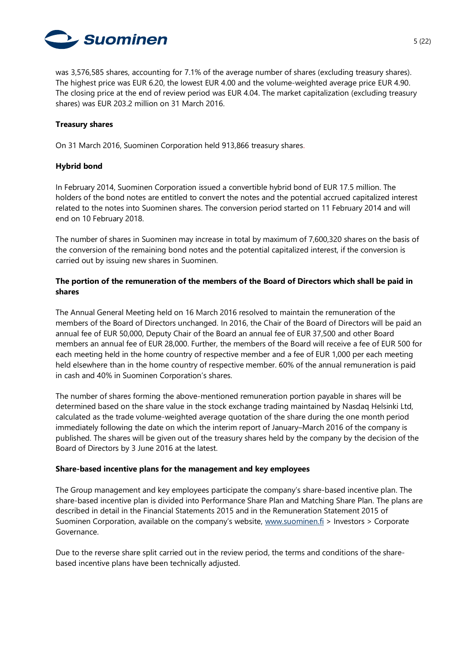

was 3,576,585 shares, accounting for 7.1% of the average number of shares (excluding treasury shares). The highest price was EUR 6.20, the lowest EUR 4.00 and the volume-weighted average price EUR 4.90. The closing price at the end of review period was EUR 4.04. The market capitalization (excluding treasury shares) was EUR 203.2 million on 31 March 2016.

## **Treasury shares**

On 31 March 2016, Suominen Corporation held 913,866 treasury shares.

# **Hybrid bond**

In February 2014, Suominen Corporation issued a convertible hybrid bond of EUR 17.5 million. The holders of the bond notes are entitled to convert the notes and the potential accrued capitalized interest related to the notes into Suominen shares. The conversion period started on 11 February 2014 and will end on 10 February 2018.

The number of shares in Suominen may increase in total by maximum of 7,600,320 shares on the basis of the conversion of the remaining bond notes and the potential capitalized interest, if the conversion is carried out by issuing new shares in Suominen.

# **The portion of the remuneration of the members of the Board of Directors which shall be paid in shares**

The Annual General Meeting held on 16 March 2016 resolved to maintain the remuneration of the members of the Board of Directors unchanged. In 2016, the Chair of the Board of Directors will be paid an annual fee of EUR 50,000, Deputy Chair of the Board an annual fee of EUR 37,500 and other Board members an annual fee of EUR 28,000. Further, the members of the Board will receive a fee of EUR 500 for each meeting held in the home country of respective member and a fee of EUR 1,000 per each meeting held elsewhere than in the home country of respective member. 60% of the annual remuneration is paid in cash and 40% in Suominen Corporation's shares.

The number of shares forming the above-mentioned remuneration portion payable in shares will be determined based on the share value in the stock exchange trading maintained by Nasdaq Helsinki Ltd, calculated as the trade volume-weighted average quotation of the share during the one month period immediately following the date on which the interim report of January–March 2016 of the company is published. The shares will be given out of the treasury shares held by the company by the decision of the Board of Directors by 3 June 2016 at the latest.

## **Share-based incentive plans for the management and key employees**

The Group management and key employees participate the company's share-based incentive plan. The share-based incentive plan is divided into Performance Share Plan and Matching Share Plan. The plans are described in detail in the Financial Statements 2015 and in the Remuneration Statement 2015 of Suominen Corporation, available on the company's website, [www.suominen.fi](http://www.suominen.fi/) > Investors > Corporate Governance.

Due to the reverse share split carried out in the review period, the terms and conditions of the sharebased incentive plans have been technically adjusted.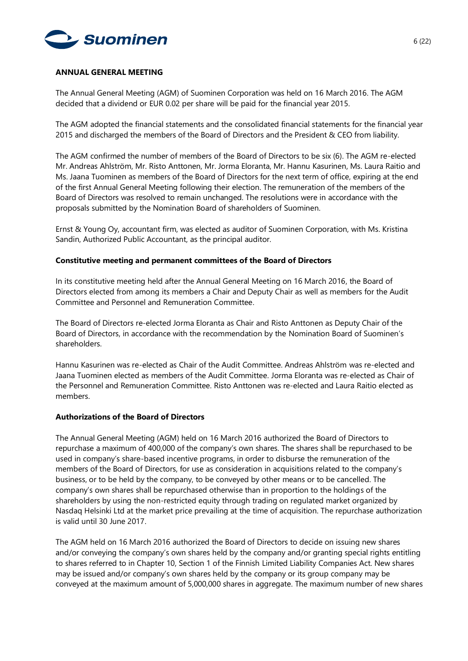

#### **ANNUAL GENERAL MEETING**

The Annual General Meeting (AGM) of Suominen Corporation was held on 16 March 2016. The AGM decided that a dividend or EUR 0.02 per share will be paid for the financial year 2015.

The AGM adopted the financial statements and the consolidated financial statements for the financial year 2015 and discharged the members of the Board of Directors and the President & CEO from liability.

The AGM confirmed the number of members of the Board of Directors to be six (6). The AGM re-elected Mr. Andreas Ahlström, Mr. Risto Anttonen, Mr. Jorma Eloranta, Mr. Hannu Kasurinen, Ms. Laura Raitio and Ms. Jaana Tuominen as members of the Board of Directors for the next term of office, expiring at the end of the first Annual General Meeting following their election. The remuneration of the members of the Board of Directors was resolved to remain unchanged. The resolutions were in accordance with the proposals submitted by the Nomination Board of shareholders of Suominen.

Ernst & Young Oy, accountant firm, was elected as auditor of Suominen Corporation, with Ms. Kristina Sandin, Authorized Public Accountant, as the principal auditor.

#### **Constitutive meeting and permanent committees of the Board of Directors**

In its constitutive meeting held after the Annual General Meeting on 16 March 2016, the Board of Directors elected from among its members a Chair and Deputy Chair as well as members for the Audit Committee and Personnel and Remuneration Committee.

The Board of Directors re-elected Jorma Eloranta as Chair and Risto Anttonen as Deputy Chair of the Board of Directors, in accordance with the recommendation by the Nomination Board of Suominen's shareholders.

Hannu Kasurinen was re-elected as Chair of the Audit Committee. Andreas Ahlström was re-elected and Jaana Tuominen elected as members of the Audit Committee. Jorma Eloranta was re-elected as Chair of the Personnel and Remuneration Committee. Risto Anttonen was re-elected and Laura Raitio elected as members.

#### **Authorizations of the Board of Directors**

The Annual General Meeting (AGM) held on 16 March 2016 authorized the Board of Directors to repurchase a maximum of 400,000 of the company's own shares. The shares shall be repurchased to be used in company's share-based incentive programs, in order to disburse the remuneration of the members of the Board of Directors, for use as consideration in acquisitions related to the company's business, or to be held by the company, to be conveyed by other means or to be cancelled. The company's own shares shall be repurchased otherwise than in proportion to the holdings of the shareholders by using the non-restricted equity through trading on regulated market organized by Nasdaq Helsinki Ltd at the market price prevailing at the time of acquisition. The repurchase authorization is valid until 30 June 2017.

The AGM held on 16 March 2016 authorized the Board of Directors to decide on issuing new shares and/or conveying the company's own shares held by the company and/or granting special rights entitling to shares referred to in Chapter 10, Section 1 of the Finnish Limited Liability Companies Act. New shares may be issued and/or company's own shares held by the company or its group company may be conveyed at the maximum amount of 5,000,000 shares in aggregate. The maximum number of new shares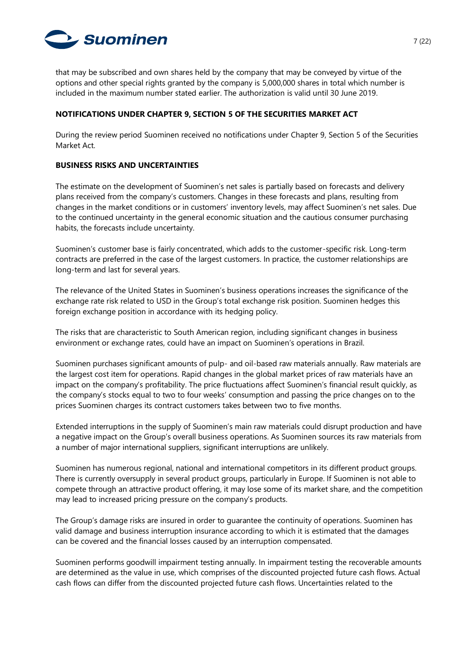

that may be subscribed and own shares held by the company that may be conveyed by virtue of the options and other special rights granted by the company is 5,000,000 shares in total which number is included in the maximum number stated earlier. The authorization is valid until 30 June 2019.

## **NOTIFICATIONS UNDER CHAPTER 9, SECTION 5 OF THE SECURITIES MARKET ACT**

During the review period Suominen received no notifications under Chapter 9, Section 5 of the Securities Market Act.

# **BUSINESS RISKS AND UNCERTAINTIES**

The estimate on the development of Suominen's net sales is partially based on forecasts and delivery plans received from the company's customers. Changes in these forecasts and plans, resulting from changes in the market conditions or in customers' inventory levels, may affect Suominen's net sales. Due to the continued uncertainty in the general economic situation and the cautious consumer purchasing habits, the forecasts include uncertainty.

Suominen's customer base is fairly concentrated, which adds to the customer-specific risk. Long-term contracts are preferred in the case of the largest customers. In practice, the customer relationships are long-term and last for several years.

The relevance of the United States in Suominen's business operations increases the significance of the exchange rate risk related to USD in the Group's total exchange risk position. Suominen hedges this foreign exchange position in accordance with its hedging policy.

The risks that are characteristic to South American region, including significant changes in business environment or exchange rates, could have an impact on Suominen's operations in Brazil.

Suominen purchases significant amounts of pulp- and oil-based raw materials annually. Raw materials are the largest cost item for operations. Rapid changes in the global market prices of raw materials have an impact on the company's profitability. The price fluctuations affect Suominen's financial result quickly, as the company's stocks equal to two to four weeks' consumption and passing the price changes on to the prices Suominen charges its contract customers takes between two to five months.

Extended interruptions in the supply of Suominen's main raw materials could disrupt production and have a negative impact on the Group's overall business operations. As Suominen sources its raw materials from a number of major international suppliers, significant interruptions are unlikely.

Suominen has numerous regional, national and international competitors in its different product groups. There is currently oversupply in several product groups, particularly in Europe. If Suominen is not able to compete through an attractive product offering, it may lose some of its market share, and the competition may lead to increased pricing pressure on the company's products.

The Group's damage risks are insured in order to guarantee the continuity of operations. Suominen has valid damage and business interruption insurance according to which it is estimated that the damages can be covered and the financial losses caused by an interruption compensated.

Suominen performs goodwill impairment testing annually. In impairment testing the recoverable amounts are determined as the value in use, which comprises of the discounted projected future cash flows. Actual cash flows can differ from the discounted projected future cash flows. Uncertainties related to the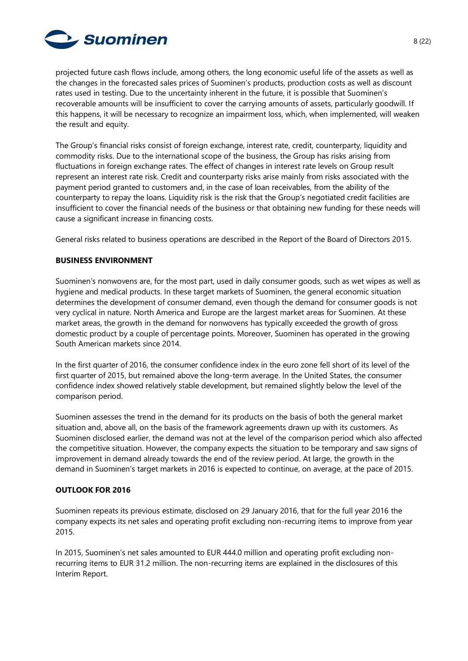

projected future cash flows include, among others, the long economic useful life of the assets as well as the changes in the forecasted sales prices of Suominen's products, production costs as well as discount rates used in testing. Due to the uncertainty inherent in the future, it is possible that Suominen's recoverable amounts will be insufficient to cover the carrying amounts of assets, particularly goodwill. If this happens, it will be necessary to recognize an impairment loss, which, when implemented, will weaken the result and equity.

The Group's financial risks consist of foreign exchange, interest rate, credit, counterparty, liquidity and commodity risks. Due to the international scope of the business, the Group has risks arising from fluctuations in foreign exchange rates. The effect of changes in interest rate levels on Group result represent an interest rate risk. Credit and counterparty risks arise mainly from risks associated with the payment period granted to customers and, in the case of loan receivables, from the ability of the counterparty to repay the loans. Liquidity risk is the risk that the Group's negotiated credit facilities are insufficient to cover the financial needs of the business or that obtaining new funding for these needs will cause a significant increase in financing costs.

General risks related to business operations are described in the Report of the Board of Directors 2015.

# **BUSINESS ENVIRONMENT**

Suominen's nonwovens are, for the most part, used in daily consumer goods, such as wet wipes as well as hygiene and medical products. In these target markets of Suominen, the general economic situation determines the development of consumer demand, even though the demand for consumer goods is not very cyclical in nature. North America and Europe are the largest market areas for Suominen. At these market areas, the growth in the demand for nonwovens has typically exceeded the growth of gross domestic product by a couple of percentage points. Moreover, Suominen has operated in the growing South American markets since 2014.

In the first quarter of 2016, the consumer confidence index in the euro zone fell short of its level of the first quarter of 2015, but remained above the long-term average. In the United States, the consumer confidence index showed relatively stable development, but remained slightly below the level of the comparison period.

Suominen assesses the trend in the demand for its products on the basis of both the general market situation and, above all, on the basis of the framework agreements drawn up with its customers. As Suominen disclosed earlier, the demand was not at the level of the comparison period which also affected the competitive situation. However, the company expects the situation to be temporary and saw signs of improvement in demand already towards the end of the review period. At large, the growth in the demand in Suominen's target markets in 2016 is expected to continue, on average, at the pace of 2015.

## **OUTLOOK FOR 2016**

Suominen repeats its previous estimate, disclosed on 29 January 2016, that for the full year 2016 the company expects its net sales and operating profit excluding non-recurring items to improve from year 2015.

In 2015, Suominen's net sales amounted to EUR 444.0 million and operating profit excluding nonrecurring items to EUR 31.2 million. The non-recurring items are explained in the disclosures of this Interim Report.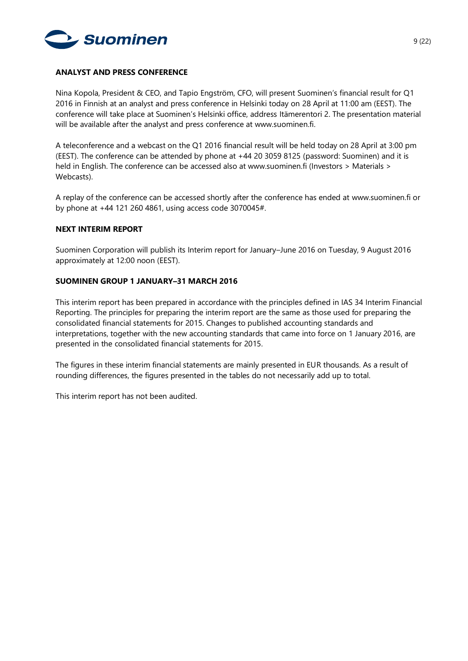

## **ANALYST AND PRESS CONFERENCE**

Nina Kopola, President & CEO, and Tapio Engström, CFO, will present Suominen's financial result for Q1 2016 in Finnish at an analyst and press conference in Helsinki today on 28 April at 11:00 am (EEST). The conference will take place at Suominen's Helsinki office, address Itämerentori 2. The presentation material will be available after the analyst and press conference at www.suominen.fi.

A teleconference and a webcast on the Q1 2016 financial result will be held today on 28 April at 3:00 pm (EEST). The conference can be attended by phone at +44 20 3059 8125 (password: Suominen) and it is held in English. The conference can be accessed also at www.suominen.fi (Investors > Materials > Webcasts).

A replay of the conference can be accessed shortly after the conference has ended at www.suominen.fi or by phone at +44 121 260 4861, using access code 3070045#.

#### **NEXT INTERIM REPORT**

Suominen Corporation will publish its Interim report for January–June 2016 on Tuesday, 9 August 2016 approximately at 12:00 noon (EEST).

#### **SUOMINEN GROUP 1 JANUARY–31 MARCH 2016**

This interim report has been prepared in accordance with the principles defined in IAS 34 Interim Financial Reporting. The principles for preparing the interim report are the same as those used for preparing the consolidated financial statements for 2015. Changes to published accounting standards and interpretations, together with the new accounting standards that came into force on 1 January 2016, are presented in the consolidated financial statements for 2015.

The figures in these interim financial statements are mainly presented in EUR thousands. As a result of rounding differences, the figures presented in the tables do not necessarily add up to total.

This interim report has not been audited.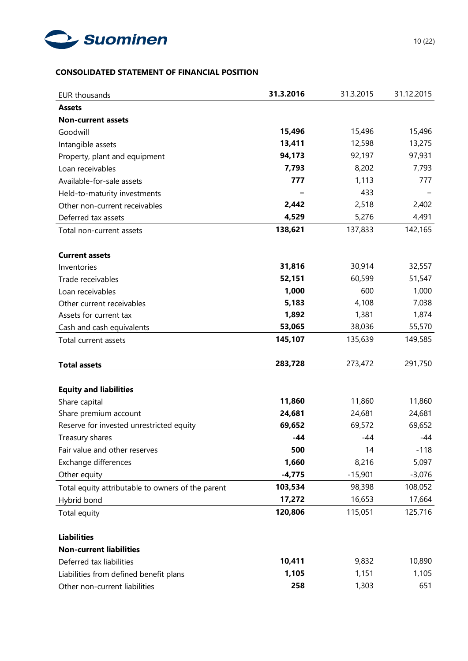

# **CONSOLIDATED STATEMENT OF FINANCIAL POSITION**

| <b>EUR thousands</b>                              | 31.3.2016 | 31.3.2015 | 31.12.2015 |
|---------------------------------------------------|-----------|-----------|------------|
| <b>Assets</b>                                     |           |           |            |
| <b>Non-current assets</b>                         |           |           |            |
| Goodwill                                          | 15,496    | 15,496    | 15,496     |
| Intangible assets                                 | 13,411    | 12,598    | 13,275     |
| Property, plant and equipment                     | 94,173    | 92,197    | 97,931     |
| Loan receivables                                  | 7,793     | 8,202     | 7,793      |
| Available-for-sale assets                         | 777       | 1,113     | 777        |
| Held-to-maturity investments                      |           | 433       |            |
| Other non-current receivables                     | 2,442     | 2,518     | 2,402      |
| Deferred tax assets                               | 4,529     | 5,276     | 4,491      |
| Total non-current assets                          | 138,621   | 137,833   | 142,165    |
| <b>Current assets</b>                             |           |           |            |
| Inventories                                       | 31,816    | 30,914    | 32,557     |
| Trade receivables                                 | 52,151    | 60,599    | 51,547     |
| Loan receivables                                  | 1,000     | 600       | 1,000      |
| Other current receivables                         | 5,183     | 4,108     | 7,038      |
| Assets for current tax                            | 1,892     | 1,381     | 1,874      |
| Cash and cash equivalents                         | 53,065    | 38,036    | 55,570     |
| Total current assets                              | 145,107   | 135,639   | 149,585    |
| <b>Total assets</b>                               | 283,728   | 273,472   | 291,750    |
| <b>Equity and liabilities</b>                     |           |           |            |
| Share capital                                     | 11,860    | 11,860    | 11,860     |
| Share premium account                             | 24,681    | 24,681    | 24,681     |
| Reserve for invested unrestricted equity          | 69,652    | 69,572    | 69,652     |
| Treasury shares                                   | -44       | -44       | -44        |
| Fair value and other reserves                     | 500       | 14        | $-118$     |
| Exchange differences                              | 1,660     | 8,216     | 5,097      |
| Other equity                                      | $-4,775$  | $-15,901$ | $-3,076$   |
| Total equity attributable to owners of the parent | 103,534   | 98,398    | 108,052    |
| Hybrid bond                                       | 17,272    | 16,653    | 17,664     |
| Total equity                                      | 120,806   | 115,051   | 125,716    |
| <b>Liabilities</b>                                |           |           |            |
| <b>Non-current liabilities</b>                    |           |           |            |
| Deferred tax liabilities                          | 10,411    | 9,832     | 10,890     |
| Liabilities from defined benefit plans            | 1,105     | 1,151     | 1,105      |
| Other non-current liabilities                     | 258       | 1,303     | 651        |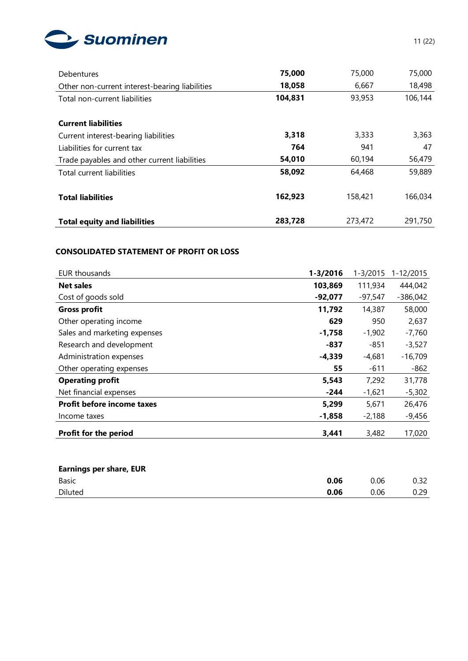

| <b>Debentures</b>                              | 75,000  | 75,000  | 75,000  |
|------------------------------------------------|---------|---------|---------|
| Other non-current interest-bearing liabilities | 18,058  | 6,667   | 18,498  |
| Total non-current liabilities                  | 104,831 | 93,953  | 106,144 |
|                                                |         |         |         |
| <b>Current liabilities</b>                     |         |         |         |
| Current interest-bearing liabilities           | 3,318   | 3,333   | 3,363   |
| Liabilities for current tax                    | 764     | 941     | 47      |
| Trade payables and other current liabilities   | 54,010  | 60,194  | 56,479  |
| Total current liabilities                      | 58,092  | 64,468  | 59,889  |
|                                                |         |         |         |
| <b>Total liabilities</b>                       | 162,923 | 158,421 | 166,034 |
|                                                |         |         |         |
| <b>Total equity and liabilities</b>            | 283,728 | 273,472 | 291,750 |

# **CONSOLIDATED STATEMENT OF PROFIT OR LOSS**

| EUR thousands                     | $1 - 3/2016$ | $1 - 3/2015$ | 1-12/2015  |
|-----------------------------------|--------------|--------------|------------|
| <b>Net sales</b>                  | 103,869      | 111,934      | 444,042    |
| Cost of goods sold                | $-92,077$    | $-97,547$    | $-386,042$ |
| <b>Gross profit</b>               | 11,792       | 14,387       | 58,000     |
| Other operating income            | 629          | 950          | 2,637      |
| Sales and marketing expenses      | $-1,758$     | $-1,902$     | $-7,760$   |
| Research and development          | -837         | -851         | $-3,527$   |
| Administration expenses           | $-4,339$     | $-4,681$     | $-16,709$  |
| Other operating expenses          | 55           | $-611$       | $-862$     |
| <b>Operating profit</b>           | 5,543        | 7,292        | 31,778     |
| Net financial expenses            | -244         | $-1,621$     | $-5,302$   |
| <b>Profit before income taxes</b> | 5,299        | 5,671        | 26,476     |
| Income taxes                      | $-1,858$     | $-2,188$     | $-9,456$   |
| Profit for the period             | 3,441        | 3,482        | 17,020     |

| <b>Earnings per share, EUR</b> |      |      |      |
|--------------------------------|------|------|------|
| Basic                          | 0.06 | 0.06 | 0.32 |
| Diluted                        | 0.06 | 0.06 | ე.29 |
|                                |      |      |      |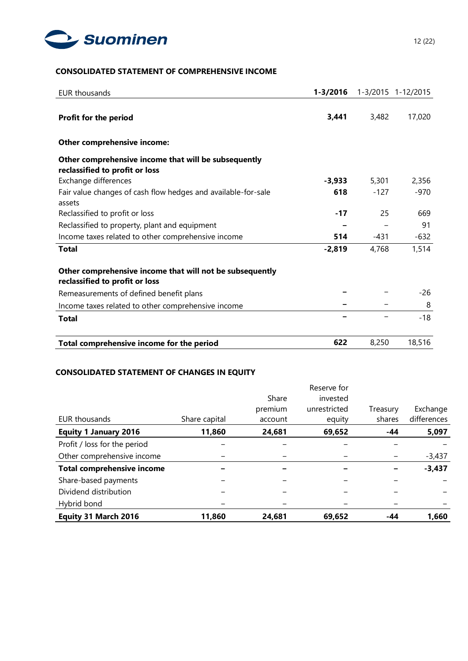

# **CONSOLIDATED STATEMENT OF COMPREHENSIVE INCOME**

| EUR thousands                                                                              | $1 - 3/2016$ |        | 1-3/2015 1-12/2015 |
|--------------------------------------------------------------------------------------------|--------------|--------|--------------------|
| Profit for the period                                                                      | 3,441        | 3,482  | 17,020             |
|                                                                                            |              |        |                    |
| Other comprehensive income:                                                                |              |        |                    |
| Other comprehensive income that will be subsequently<br>reclassified to profit or loss     |              |        |                    |
| Exchange differences                                                                       | -3,933       | 5,301  | 2,356              |
| Fair value changes of cash flow hedges and available-for-sale<br>assets                    | 618          | $-127$ | $-970$             |
| Reclassified to profit or loss                                                             | $-17$        | 25     | 669                |
| Reclassified to property, plant and equipment                                              |              |        | 91                 |
| Income taxes related to other comprehensive income                                         | 514          | $-431$ | $-632$             |
| <b>Total</b>                                                                               | $-2,819$     | 4,768  | 1,514              |
| Other comprehensive income that will not be subsequently<br>reclassified to profit or loss |              |        |                    |
| Remeasurements of defined benefit plans                                                    |              |        | -26                |
| Income taxes related to other comprehensive income                                         |              |        | 8                  |
| <b>Total</b>                                                                               |              |        | $-18$              |
| Total comprehensive income for the period                                                  | 622          | 8,250  | 18,516             |

## **CONSOLIDATED STATEMENT OF CHANGES IN EQUITY**

|                                   |               | Share   | Reserve for<br>invested |          |             |
|-----------------------------------|---------------|---------|-------------------------|----------|-------------|
|                                   |               | premium | unrestricted            | Treasury | Exchange    |
| EUR thousands                     | Share capital | account | equity                  | shares   | differences |
| <b>Equity 1 January 2016</b>      | 11,860        | 24,681  | 69,652                  | $-44$    | 5,097       |
| Profit / loss for the period      |               |         |                         |          |             |
| Other comprehensive income        |               |         |                         |          | $-3,437$    |
| <b>Total comprehensive income</b> |               |         |                         |          | $-3,437$    |
| Share-based payments              |               |         |                         |          |             |
| Dividend distribution             |               |         |                         |          |             |
| Hybrid bond                       |               |         |                         |          |             |
| Equity 31 March 2016              | 11,860        | 24,681  | 69,652                  | -44      | 1.660       |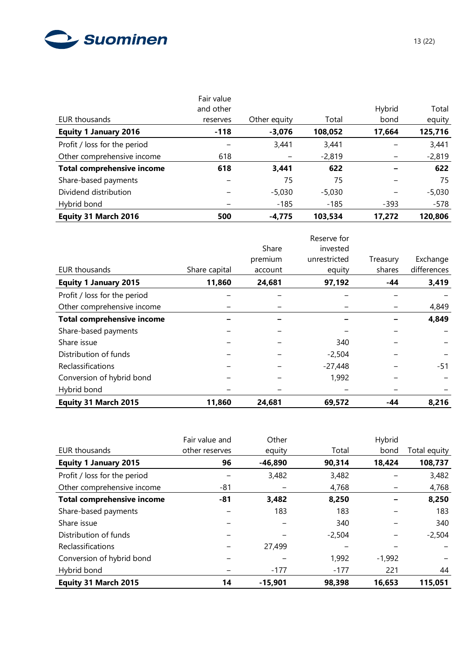

| EUR thousands                     | Fair value<br>and other<br>reserves | Other equity | Total    | Hybrid<br>bond | Total<br>equity |
|-----------------------------------|-------------------------------------|--------------|----------|----------------|-----------------|
| <b>Equity 1 January 2016</b>      | $-118$                              | $-3,076$     | 108,052  | 17,664         | 125,716         |
| Profit / loss for the period      |                                     | 3,441        | 3,441    |                | 3,441           |
| Other comprehensive income        | 618                                 |              | $-2,819$ |                | $-2,819$        |
| <b>Total comprehensive income</b> | 618                                 | 3,441        | 622      |                | 622             |
| Share-based payments              |                                     | 75           | 75       |                | 75              |
| Dividend distribution             |                                     | $-5,030$     | $-5,030$ |                | $-5,030$        |
| Hybrid bond                       |                                     | $-185$       | $-185$   | $-393$         | -578            |
| Equity 31 March 2016              | 500                                 | $-4,775$     | 103,534  | 17,272         | 120,806         |

|                                   |               |         | Reserve for  |          |             |
|-----------------------------------|---------------|---------|--------------|----------|-------------|
|                                   |               | Share   | invested     |          |             |
|                                   |               | premium | unrestricted | Treasury | Exchange    |
| <b>EUR thousands</b>              | Share capital | account | equity       | shares   | differences |
| <b>Equity 1 January 2015</b>      | 11,860        | 24,681  | 97,192       | $-44$    | 3,419       |
| Profit / loss for the period      |               |         |              |          |             |
| Other comprehensive income        |               |         |              |          | 4,849       |
| <b>Total comprehensive income</b> |               |         |              |          | 4,849       |
| Share-based payments              |               |         |              |          |             |
| Share issue                       |               |         | 340          |          |             |
| Distribution of funds             |               |         | $-2,504$     |          |             |
| Reclassifications                 |               |         | $-27,448$    |          | -51         |
| Conversion of hybrid bond         |               |         | 1,992        |          |             |
| Hybrid bond                       |               |         |              |          |             |
| Equity 31 March 2015              | 11,860        | 24,681  | 69,572       | -44      | 8,216       |

|                                   | Fair value and | Other     |          | Hybrid   |              |
|-----------------------------------|----------------|-----------|----------|----------|--------------|
| EUR thousands                     | other reserves | equity    | Total    | bond     | Total equity |
| <b>Equity 1 January 2015</b>      | 96             | $-46,890$ | 90,314   | 18,424   | 108,737      |
| Profit / loss for the period      |                | 3,482     | 3,482    |          | 3,482        |
| Other comprehensive income        | -81            |           | 4,768    |          | 4,768        |
| <b>Total comprehensive income</b> | -81            | 3,482     | 8,250    |          | 8,250        |
| Share-based payments              |                | 183       | 183      |          | 183          |
| Share issue                       |                |           | 340      |          | 340          |
| Distribution of funds             |                |           | $-2,504$ |          | $-2,504$     |
| Reclassifications                 |                | 27,499    |          |          |              |
| Conversion of hybrid bond         |                |           | 1,992    | $-1,992$ |              |
| Hybrid bond                       |                | $-177$    | $-177$   | 221      | 44           |
| Equity 31 March 2015              | 14             | $-15,901$ | 98,398   | 16,653   | 115,051      |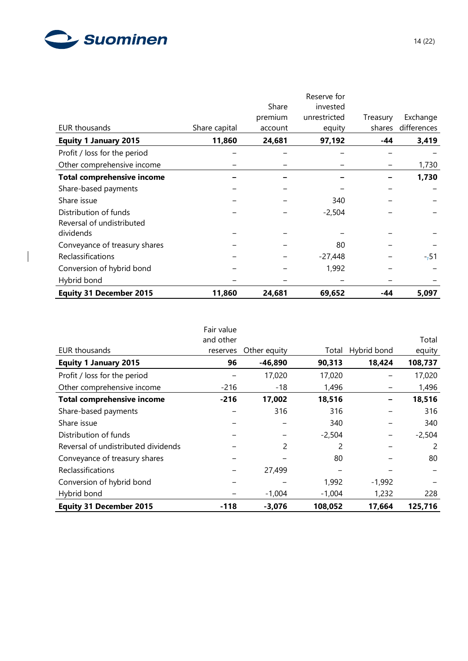

 $\overline{\phantom{a}}$ 

|                                   |               |         | Reserve for  |          |             |
|-----------------------------------|---------------|---------|--------------|----------|-------------|
|                                   |               | Share   | invested     |          |             |
|                                   |               | premium | unrestricted | Treasury | Exchange    |
| <b>EUR thousands</b>              | Share capital | account | equity       | shares   | differences |
| <b>Equity 1 January 2015</b>      | 11,860        | 24,681  | 97,192       | -44      | 3,419       |
| Profit / loss for the period      |               |         |              |          |             |
| Other comprehensive income        |               |         |              |          | 1,730       |
| <b>Total comprehensive income</b> |               |         |              |          | 1,730       |
| Share-based payments              |               |         |              |          |             |
| Share issue                       |               |         | 340          |          |             |
| Distribution of funds             |               |         | $-2,504$     |          |             |
| Reversal of undistributed         |               |         |              |          |             |
| dividends                         |               |         |              |          |             |
| Conveyance of treasury shares     |               |         | 80           |          |             |
| Reclassifications                 |               |         | $-27,448$    |          | --51        |
| Conversion of hybrid bond         |               |         | 1,992        |          |             |
| Hybrid bond                       |               |         |              |          |             |
| <b>Equity 31 December 2015</b>    | 11,860        | 24,681  | 69,652       | -44      | 5,097       |

|                                     | Fair value |              |          |             |          |
|-------------------------------------|------------|--------------|----------|-------------|----------|
|                                     | and other  |              |          |             | Total    |
| <b>EUR thousands</b>                | reserves   | Other equity | Total    | Hybrid bond | equity   |
| <b>Equity 1 January 2015</b>        | 96         | $-46,890$    | 90,313   | 18,424      | 108,737  |
| Profit / loss for the period        |            | 17,020       | 17,020   |             | 17,020   |
| Other comprehensive income          | $-216$     | $-18$        | 1,496    |             | 1,496    |
| <b>Total comprehensive income</b>   | $-216$     | 17,002       | 18,516   |             | 18,516   |
| Share-based payments                |            | 316          | 316      |             | 316      |
| Share issue                         |            |              | 340      |             | 340      |
| Distribution of funds               |            |              | $-2,504$ |             | $-2,504$ |
| Reversal of undistributed dividends |            | 2            | 2        |             | 2        |
| Conveyance of treasury shares       |            |              | 80       |             | 80       |
| <b>Reclassifications</b>            |            | 27,499       |          |             |          |
| Conversion of hybrid bond           |            |              | 1,992    | $-1,992$    |          |
| Hybrid bond                         |            | $-1,004$     | $-1,004$ | 1,232       | 228      |
| <b>Equity 31 December 2015</b>      | -118       | $-3,076$     | 108,052  | 17,664      | 125,716  |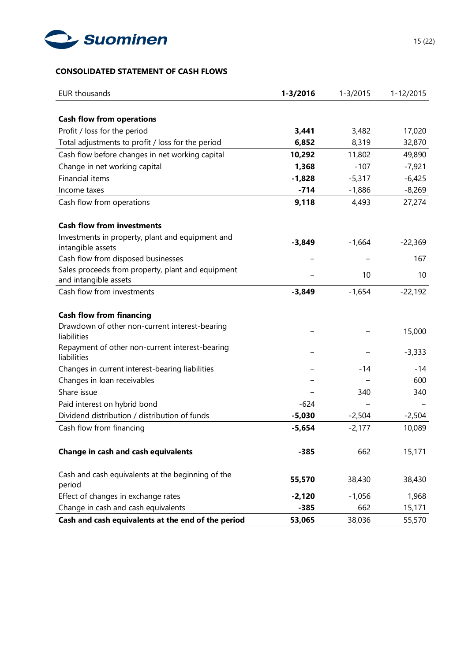

# **CONSOLIDATED STATEMENT OF CASH FLOWS**

| <b>EUR thousands</b>                                                          | $1 - 3/2016$ | $1 - 3/2015$ | 1-12/2015 |
|-------------------------------------------------------------------------------|--------------|--------------|-----------|
|                                                                               |              |              |           |
| <b>Cash flow from operations</b>                                              |              |              |           |
| Profit / loss for the period                                                  | 3,441        | 3,482        | 17,020    |
| Total adjustments to profit / loss for the period                             | 6,852        | 8,319        | 32,870    |
| Cash flow before changes in net working capital                               | 10,292       | 11,802       | 49,890    |
| Change in net working capital                                                 | 1,368        | $-107$       | $-7,921$  |
| <b>Financial items</b>                                                        | $-1,828$     | $-5,317$     | $-6,425$  |
| Income taxes                                                                  | $-714$       | $-1,886$     | $-8,269$  |
| Cash flow from operations                                                     | 9,118        | 4,493        | 27,274    |
| <b>Cash flow from investments</b>                                             |              |              |           |
| Investments in property, plant and equipment and                              | $-3,849$     | $-1,664$     | $-22,369$ |
| intangible assets                                                             |              |              |           |
| Cash flow from disposed businesses                                            |              |              | 167       |
| Sales proceeds from property, plant and equipment                             |              | 10           | 10        |
| and intangible assets                                                         |              |              |           |
| Cash flow from investments                                                    | $-3,849$     | $-1,654$     | $-22,192$ |
| <b>Cash flow from financing</b>                                               |              |              |           |
| Drawdown of other non-current interest-bearing                                |              |              | 15,000    |
| liabilities                                                                   |              |              |           |
| Repayment of other non-current interest-bearing                               |              |              | $-3,333$  |
| liabilities<br>Changes in current interest-bearing liabilities                |              | -14          | -14       |
|                                                                               |              |              | 600       |
| Changes in loan receivables<br>Share issue                                    |              | 340          | 340       |
|                                                                               | $-624$       |              |           |
| Paid interest on hybrid bond<br>Dividend distribution / distribution of funds |              |              |           |
|                                                                               | $-5,030$     | $-2,504$     | $-2,504$  |
| Cash flow from financing                                                      | $-5,654$     | $-2,177$     | 10,089    |
| <b>Change in cash and cash equivalents</b>                                    | $-385$       | 662          | 15,171    |
| Cash and cash equivalents at the beginning of the                             | 55,570       | 38,430       | 38,430    |
| period                                                                        |              |              |           |
| Effect of changes in exchange rates                                           | $-2,120$     | $-1,056$     | 1,968     |
| Change in cash and cash equivalents                                           | $-385$       | 662          | 15,171    |
| Cash and cash equivalents at the end of the period                            | 53,065       | 38,036       | 55,570    |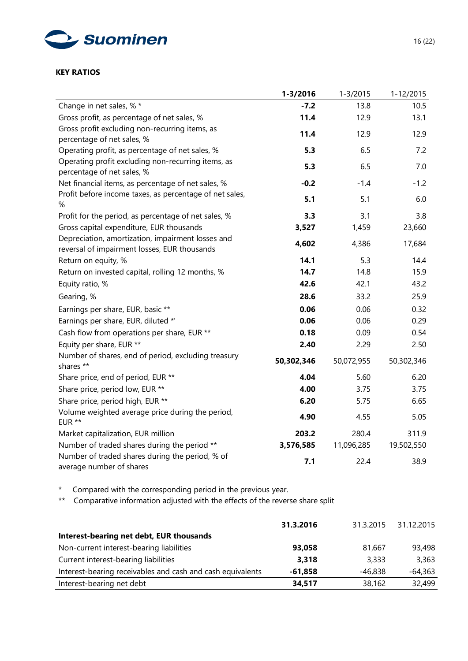

# **KEY RATIOS**

|                                                                                                   | 1-3/2016   | $1 - 3/2015$ | 1-12/2015  |
|---------------------------------------------------------------------------------------------------|------------|--------------|------------|
| Change in net sales, % *                                                                          | $-7.2$     | 13.8         | 10.5       |
| Gross profit, as percentage of net sales, %                                                       | 11.4       | 12.9         | 13.1       |
| Gross profit excluding non-recurring items, as<br>percentage of net sales, %                      | 11.4       | 12.9         | 12.9       |
| Operating profit, as percentage of net sales, %                                                   | 5.3        | 6.5          | 7.2        |
| Operating profit excluding non-recurring items, as<br>percentage of net sales, %                  | 5.3        | 6.5          | 7.0        |
| Net financial items, as percentage of net sales, %                                                | $-0.2$     | $-1.4$       | $-1.2$     |
| Profit before income taxes, as percentage of net sales,<br>%                                      | 5.1        | 5.1          | 6.0        |
| Profit for the period, as percentage of net sales, %                                              | 3.3        | 3.1          | 3.8        |
| Gross capital expenditure, EUR thousands                                                          | 3,527      | 1,459        | 23,660     |
| Depreciation, amortization, impairment losses and<br>reversal of impairment losses, EUR thousands | 4,602      | 4,386        | 17,684     |
| Return on equity, %                                                                               | 14.1       | 5.3          | 14.4       |
| Return on invested capital, rolling 12 months, %                                                  | 14.7       | 14.8         | 15.9       |
| Equity ratio, %                                                                                   | 42.6       | 42.1         | 43.2       |
| Gearing, %                                                                                        | 28.6       | 33.2         | 25.9       |
| Earnings per share, EUR, basic **                                                                 | 0.06       | 0.06         | 0.32       |
| Earnings per share, EUR, diluted *'                                                               | 0.06       | 0.06         | 0.29       |
| Cash flow from operations per share, EUR **                                                       | 0.18       | 0.09         | 0.54       |
| Equity per share, EUR **                                                                          | 2.40       | 2.29         | 2.50       |
| Number of shares, end of period, excluding treasury<br>shares **                                  | 50,302,346 | 50,072,955   | 50,302,346 |
| Share price, end of period, EUR **                                                                | 4.04       | 5.60         | 6.20       |
| Share price, period low, EUR **                                                                   | 4.00       | 3.75         | 3.75       |
| Share price, period high, EUR **                                                                  | 6.20       | 5.75         | 6.65       |
| Volume weighted average price during the period,<br>EUR **                                        | 4.90       | 4.55         | 5.05       |
| Market capitalization, EUR million                                                                | 203.2      | 280.4        | 311.9      |
| Number of traded shares during the period **                                                      | 3,576,585  | 11,096,285   | 19,502,550 |
| Number of traded shares during the period, % of<br>average number of shares                       | 7.1        | 22.4         | 38.9       |

\* Compared with the corresponding period in the previous year.

\*\* Comparative information adjusted with the effects of the reverse share split

|                                                            | 31.3.2016 | 31.3.2015 | 31.12.2015 |
|------------------------------------------------------------|-----------|-----------|------------|
| Interest-bearing net debt, EUR thousands                   |           |           |            |
| Non-current interest-bearing liabilities                   | 93,058    | 81,667    | 93,498     |
| Current interest-bearing liabilities                       | 3,318     | 3,333     | 3,363      |
| Interest-bearing receivables and cash and cash equivalents | $-61,858$ | $-46,838$ | $-64,363$  |
| Interest-bearing net debt                                  | 34,517    | 38,162    | 32,499     |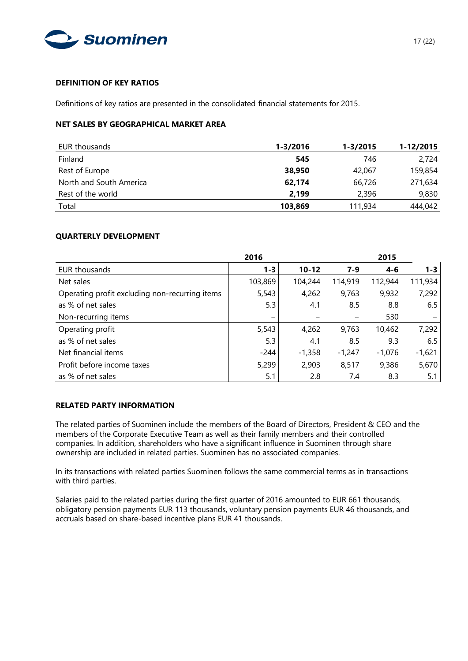

# **DEFINITION OF KEY RATIOS**

Definitions of key ratios are presented in the consolidated financial statements for 2015.

# **NET SALES BY GEOGRAPHICAL MARKET AREA**

| EUR thousands           | 1-3/2016 | 1-3/2015 | 1-12/2015 |
|-------------------------|----------|----------|-----------|
| Finland                 | 545      | 746      | 2,724     |
| Rest of Europe          | 38,950   | 42,067   | 159,854   |
| North and South America | 62,174   | 66,726   | 271,634   |
| Rest of the world       | 2.199    | 2,396    | 9,830     |
| Total                   | 103,869  | 111,934  | 444,042   |

#### **QUARTERLY DEVELOPMENT**

|                                                | 2016            |           |          | 2015     |          |
|------------------------------------------------|-----------------|-----------|----------|----------|----------|
| EUR thousands                                  | $1 - 3$         | $10 - 12$ | $7-9$    | $4 - 6$  | $1 - 3$  |
| Net sales                                      | 103,869         | 104,244   | 114,919  | 112,944  | 111,934  |
| Operating profit excluding non-recurring items | 5,543           | 4,262     | 9,763    | 9,932    | 7,292    |
| as % of net sales                              | 5.3             | 4.1       | 8.5      | 8.8      | 6.5      |
| Non-recurring items                            | $\qquad \qquad$ |           |          | 530      |          |
| Operating profit                               | 5,543           | 4,262     | 9,763    | 10,462   | 7,292    |
| as % of net sales                              | 5.3             | 4.1       | 8.5      | 9.3      | 6.5      |
| Net financial items                            | -244            | $-1,358$  | $-1,247$ | $-1,076$ | $-1,621$ |
| Profit before income taxes                     | 5,299           | 2,903     | 8,517    | 9,386    | 5,670    |
| as % of net sales                              | 5.1             | 2.8       | 7.4      | 8.3      | 5.1      |

## **RELATED PARTY INFORMATION**

The related parties of Suominen include the members of the Board of Directors, President & CEO and the members of the Corporate Executive Team as well as their family members and their controlled companies. In addition, shareholders who have a significant influence in Suominen through share ownership are included in related parties. Suominen has no associated companies.

In its transactions with related parties Suominen follows the same commercial terms as in transactions with third parties.

Salaries paid to the related parties during the first quarter of 2016 amounted to EUR 661 thousands, obligatory pension payments EUR 113 thousands, voluntary pension payments EUR 46 thousands, and accruals based on share-based incentive plans EUR 41 thousands.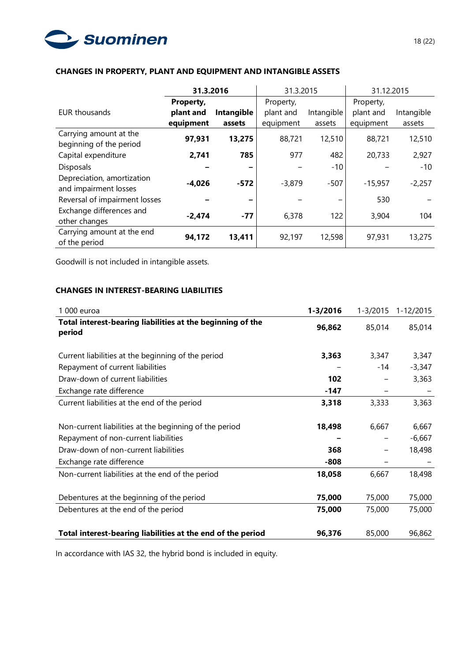

|                                                     | 31.3.2016 |            | 31.3.2015 |            | 31.12.2015 |            |
|-----------------------------------------------------|-----------|------------|-----------|------------|------------|------------|
|                                                     | Property, | Property,  |           |            | Property,  |            |
| EUR thousands                                       | plant and | Intangible | plant and | Intangible | plant and  | Intangible |
|                                                     | equipment | assets     | equipment | assets     | equipment  | assets     |
| Carrying amount at the<br>beginning of the period   | 97,931    | 13,275     | 88,721    | 12,510     | 88,721     | 12,510     |
| Capital expenditure                                 | 2,741     | 785        | 977       | 482        | 20,733     | 2,927      |
| <b>Disposals</b>                                    |           | -          |           | $-10$      |            | $-10$      |
| Depreciation, amortization<br>and impairment losses | $-4,026$  | $-572$     | $-3,879$  | $-507$     | $-15,957$  | $-2,257$   |
| Reversal of impairment losses                       |           |            |           | -          | 530        |            |
| Exchange differences and<br>other changes           | $-2,474$  | $-77$      | 6,378     | 122        | 3,904      | 104        |
| Carrying amount at the end<br>of the period         | 94,172    | 13,411     | 92,197    | 12,598     | 97,931     | 13,275     |

# **CHANGES IN PROPERTY, PLANT AND EQUIPMENT AND INTANGIBLE ASSETS**

Goodwill is not included in intangible assets.

# **CHANGES IN INTEREST-BEARING LIABILITIES**

| 1 000 euroa                                                          | $1 - 3/2016$ | $1 - 3/2015$ | 1-12/2015 |
|----------------------------------------------------------------------|--------------|--------------|-----------|
| Total interest-bearing liabilities at the beginning of the<br>period | 96,862       | 85,014       | 85,014    |
| Current liabilities at the beginning of the period                   | 3,363        | 3,347        | 3,347     |
| Repayment of current liabilities                                     |              | -14          | $-3,347$  |
| Draw-down of current liabilities                                     | 102          |              | 3,363     |
| Exchange rate difference                                             | -147         |              |           |
| Current liabilities at the end of the period                         | 3,318        | 3,333        | 3,363     |
|                                                                      |              |              |           |
| Non-current liabilities at the beginning of the period               | 18,498       | 6,667        | 6,667     |
| Repayment of non-current liabilities                                 |              |              | $-6,667$  |
| Draw-down of non-current liabilities                                 | 368          |              | 18,498    |
| Exchange rate difference                                             | $-808$       |              |           |
| Non-current liabilities at the end of the period                     | 18,058       | 6,667        | 18,498    |
|                                                                      |              |              |           |
| Debentures at the beginning of the period                            | 75,000       | 75,000       | 75,000    |
| Debentures at the end of the period                                  | 75,000       | 75,000       | 75,000    |
|                                                                      |              |              |           |
| Total interest-bearing liabilities at the end of the period          | 96,376       | 85,000       | 96,862    |

In accordance with IAS 32, the hybrid bond is included in equity.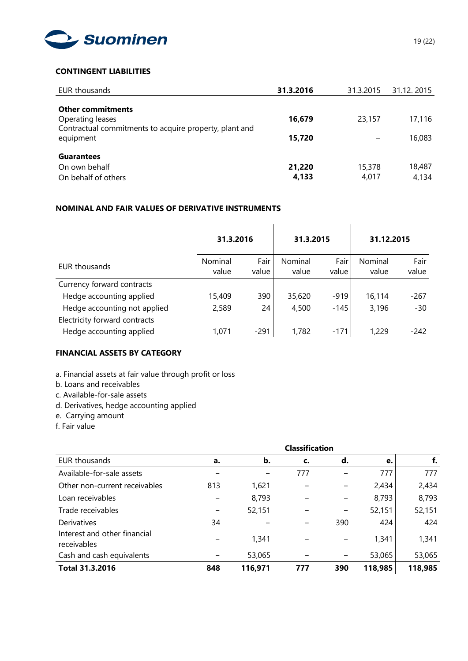

# **CONTINGENT LIABILITIES**

| EUR thousands                                                                                          | 31.3.2016       | 31.3.2015       | 31.12.2015      |
|--------------------------------------------------------------------------------------------------------|-----------------|-----------------|-----------------|
| <b>Other commitments</b><br>Operating leases<br>Contractual commitments to acquire property, plant and | 16,679          | 23,157          | 17,116          |
| equipment                                                                                              | 15,720          |                 | 16,083          |
| <b>Guarantees</b><br>On own behalf<br>On behalf of others                                              | 21,220<br>4,133 | 15,378<br>4,017 | 18,487<br>4,134 |

# **NOMINAL AND FAIR VALUES OF DERIVATIVE INSTRUMENTS**

|                               | 31.3.2016        |               | 31.3.2015        |               | 31.12.2015       |               |
|-------------------------------|------------------|---------------|------------------|---------------|------------------|---------------|
| EUR thousands                 | Nominal<br>value | Fair<br>value | Nominal<br>value | Fair<br>value | Nominal<br>value | Fair<br>value |
| Currency forward contracts    |                  |               |                  |               |                  |               |
| Hedge accounting applied      | 15,409           | 390           | 35,620           | $-919$        | 16,114           | $-267$        |
| Hedge accounting not applied  | 2,589            | 24            | 4,500            | -145          | 3,196            | $-30$         |
| Electricity forward contracts |                  |               |                  |               |                  |               |
| Hedge accounting applied      | 1,071            | $-291$        | 1,782            | $-171$        | 1,229            | $-242$        |

# **FINANCIAL ASSETS BY CATEGORY**

- a. Financial assets at fair value through profit or loss
- b. Loans and receivables
- c. Available-for-sale assets
- d. Derivatives, hedge accounting applied
- e. Carrying amount
- f. Fair value

|                                             | <b>Classification</b> |               |     |     |         |         |
|---------------------------------------------|-----------------------|---------------|-----|-----|---------|---------|
| EUR thousands                               | a.                    | $\mathbf b$ . | c.  | d.  | е.      | f.      |
| Available-for-sale assets                   |                       |               | 777 |     | 777     | 777     |
| Other non-current receivables               | 813                   | 1,621         |     |     | 2,434   | 2,434   |
| Loan receivables                            |                       | 8,793         |     | -   | 8,793   | 8,793   |
| Trade receivables                           |                       | 52,151        |     | -   | 52,151  | 52,151  |
| Derivatives                                 | 34                    |               |     | 390 | 424     | 424     |
| Interest and other financial<br>receivables |                       | 1,341         |     |     | 1,341   | 1,341   |
| Cash and cash equivalents                   |                       | 53,065        |     |     | 53,065  | 53,065  |
| <b>Total 31.3.2016</b>                      | 848                   | 116,971       | 777 | 390 | 118,985 | 118,985 |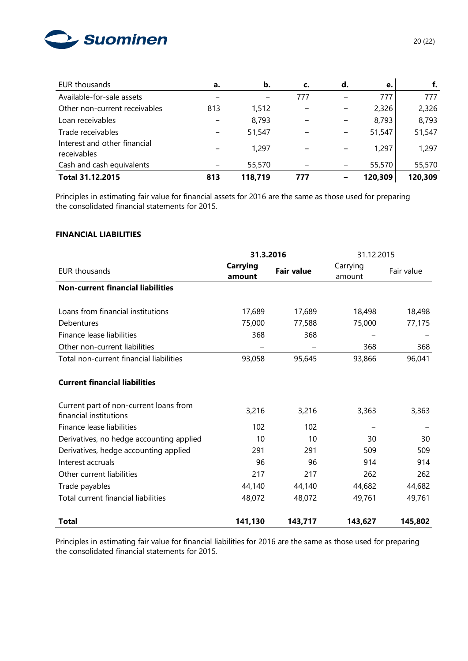

| EUR thousands                               | a.  | b.      | c.  | d. | e.      | f.      |
|---------------------------------------------|-----|---------|-----|----|---------|---------|
| Available-for-sale assets                   |     |         | 777 |    | 777     | 777     |
| Other non-current receivables               | 813 | 1,512   |     | -  | 2,326   | 2,326   |
| Loan receivables                            |     | 8,793   |     | -  | 8,793   | 8,793   |
| Trade receivables                           |     | 51,547  |     |    | 51,547  | 51,547  |
| Interest and other financial<br>receivables |     | 1,297   |     |    | 1,297   | 1,297   |
| Cash and cash equivalents                   |     | 55,570  |     | -  | 55,570  | 55,570  |
| Total 31.12.2015                            | 813 | 118,719 | 777 |    | 120,309 | 120,309 |

Principles in estimating fair value for financial assets for 2016 are the same as those used for preparing the consolidated financial statements for 2015.

#### **FINANCIAL LIABILITIES**

|                                                                  | 31.3.2016          |                   | 31.12.2015         |            |  |
|------------------------------------------------------------------|--------------------|-------------------|--------------------|------------|--|
| <b>EUR thousands</b>                                             | Carrying<br>amount | <b>Fair value</b> | Carrying<br>amount | Fair value |  |
| <b>Non-current financial liabilities</b>                         |                    |                   |                    |            |  |
| Loans from financial institutions                                | 17,689             | 17,689            | 18,498             | 18,498     |  |
| Debentures                                                       | 75,000             | 77,588            | 75,000             | 77,175     |  |
| Finance lease liabilities                                        | 368                | 368               |                    |            |  |
| Other non-current liabilities                                    |                    |                   | 368                | 368        |  |
| Total non-current financial liabilities                          | 93,058             | 95,645            | 93,866             | 96,041     |  |
| <b>Current financial liabilities</b>                             |                    |                   |                    |            |  |
| Current part of non-current loans from<br>financial institutions | 3,216              | 3,216             | 3,363              | 3,363      |  |
| Finance lease liabilities                                        | 102                | 102               |                    |            |  |
| Derivatives, no hedge accounting applied                         | 10                 | 10                | 30                 | 30         |  |
| Derivatives, hedge accounting applied                            | 291                | 291               | 509                | 509        |  |
| Interest accruals                                                | 96                 | 96                | 914                | 914        |  |
| Other current liabilities                                        | 217                | 217               | 262                | 262        |  |
| Trade payables                                                   | 44,140             | 44,140            | 44,682             | 44,682     |  |
| Total current financial liabilities                              | 48,072             | 48,072            | 49,761             | 49,761     |  |
| <b>Total</b>                                                     | 141,130            | 143,717           | 143,627            | 145,802    |  |

Principles in estimating fair value for financial liabilities for 2016 are the same as those used for preparing the consolidated financial statements for 2015.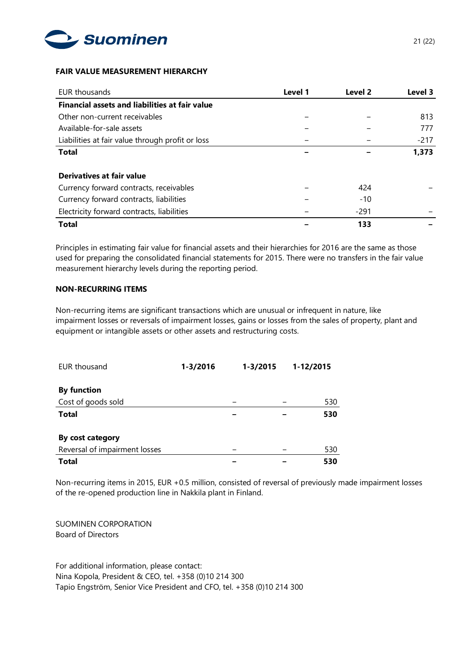

## **FAIR VALUE MEASUREMENT HIERARCHY**

| EUR thousands                                         | Level 1 | Level 2 | Level 3 |
|-------------------------------------------------------|---------|---------|---------|
| <b>Financial assets and liabilities at fair value</b> |         |         |         |
| Other non-current receivables                         |         |         | 813     |
| Available-for-sale assets                             |         |         | 777     |
| Liabilities at fair value through profit or loss      |         |         | $-217$  |
| <b>Total</b>                                          |         |         | 1,373   |
| Derivatives at fair value                             |         |         |         |
| Currency forward contracts, receivables               |         | 424     |         |
| Currency forward contracts, liabilities               |         | $-10$   |         |
| Electricity forward contracts, liabilities            |         | $-291$  |         |
| <b>Total</b>                                          |         | 133     |         |

Principles in estimating fair value for financial assets and their hierarchies for 2016 are the same as those used for preparing the consolidated financial statements for 2015. There were no transfers in the fair value measurement hierarchy levels during the reporting period.

# **NON-RECURRING ITEMS**

Non-recurring items are significant transactions which are unusual or infrequent in nature, like impairment losses or reversals of impairment losses, gains or losses from the sales of property, plant and equipment or intangible assets or other assets and restructuring costs.

| EUR thousand                  | $1 - 3/2016$ | 1-3/2015 | 1-12/2015 |     |
|-------------------------------|--------------|----------|-----------|-----|
|                               |              |          |           |     |
| <b>By function</b>            |              |          |           |     |
| Cost of goods sold            |              |          |           | 530 |
| <b>Total</b>                  |              |          |           | 530 |
| By cost category              |              |          |           |     |
| Reversal of impairment losses |              |          |           | 530 |
| <b>Total</b>                  |              |          |           | 530 |

Non-recurring items in 2015, EUR +0.5 million, consisted of reversal of previously made impairment losses of the re-opened production line in Nakkila plant in Finland.

SUOMINEN CORPORATION Board of Directors

For additional information, please contact: Nina Kopola, President & CEO, tel. +358 (0)10 214 300 Tapio Engström, Senior Vice President and CFO, tel. +358 (0)10 214 300